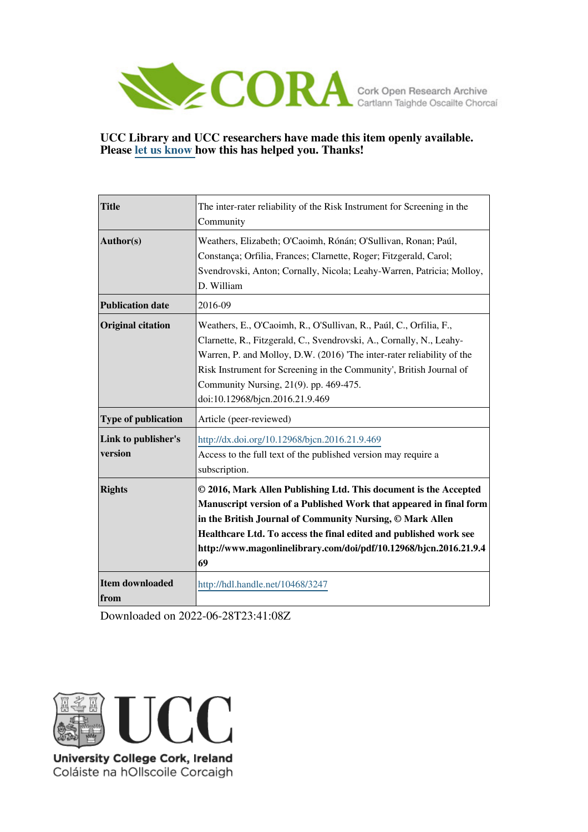

# **UCC Library and UCC researchers have made this item openly available. Please [let us know h](https://libguides.ucc.ie/openaccess/impact?suffix=3247&title=The inter-rater reliability of the Risk Instrument for Screening in the Community)ow this has helped you. Thanks!**

| <b>Title</b>                   | The inter-rater reliability of the Risk Instrument for Screening in the<br>Community                                                                                                                                                                                                                                                                                    |
|--------------------------------|-------------------------------------------------------------------------------------------------------------------------------------------------------------------------------------------------------------------------------------------------------------------------------------------------------------------------------------------------------------------------|
| Author(s)                      | Weathers, Elizabeth; O'Caoimh, Rónán; O'Sullivan, Ronan; Paúl,<br>Constança; Orfilia, Frances; Clarnette, Roger; Fitzgerald, Carol;<br>Svendrovski, Anton; Cornally, Nicola; Leahy-Warren, Patricia; Molloy,<br>D. William                                                                                                                                              |
| <b>Publication date</b>        | 2016-09                                                                                                                                                                                                                                                                                                                                                                 |
| <b>Original citation</b>       | Weathers, E., O'Caoimh, R., O'Sullivan, R., Paúl, C., Orfilia, F.,<br>Clarnette, R., Fitzgerald, C., Svendrovski, A., Cornally, N., Leahy-<br>Warren, P. and Molloy, D.W. (2016) The inter-rater reliability of the<br>Risk Instrument for Screening in the Community', British Journal of<br>Community Nursing, 21(9). pp. 469-475.<br>doi:10.12968/bjcn.2016.21.9.469 |
| <b>Type of publication</b>     | Article (peer-reviewed)                                                                                                                                                                                                                                                                                                                                                 |
| Link to publisher's<br>version | http://dx.doi.org/10.12968/bjcn.2016.21.9.469<br>Access to the full text of the published version may require a<br>subscription.                                                                                                                                                                                                                                        |
| <b>Rights</b>                  | © 2016, Mark Allen Publishing Ltd. This document is the Accepted<br>Manuscript version of a Published Work that appeared in final form<br>in the British Journal of Community Nursing, © Mark Allen<br>Healthcare Ltd. To access the final edited and published work see<br>http://www.magonlinelibrary.com/doi/pdf/10.12968/bjcn.2016.21.9.4<br>69                     |
| Item downloaded<br>from        | http://hdl.handle.net/10468/3247                                                                                                                                                                                                                                                                                                                                        |

Downloaded on 2022-06-28T23:41:08Z



University College Cork, Ireland Coláiste na hOllscoile Corcaigh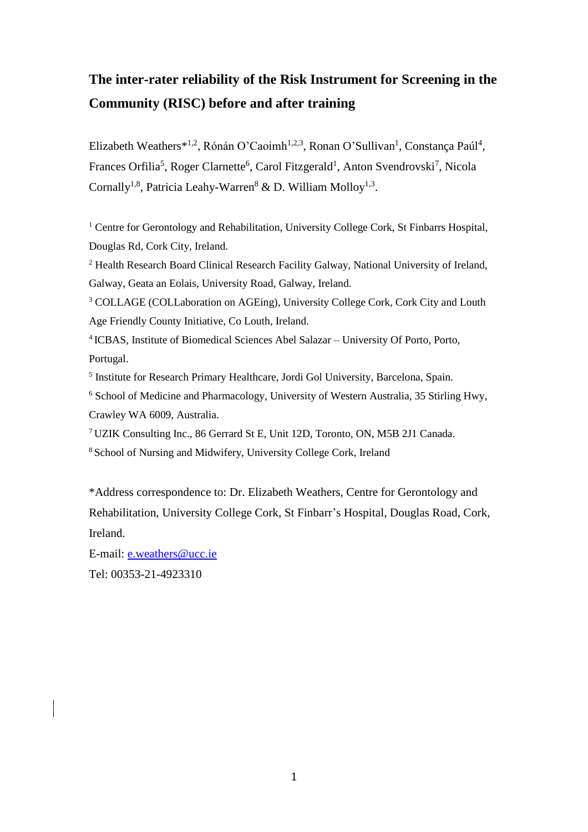# **The inter-rater reliability of the Risk Instrument for Screening in the Community (RISC) before and after training**

Elizabeth Weathers<sup>\*1,2</sup>, Rónán O'Caoimh<sup>1,2,3</sup>, Ronan O'Sullivan<sup>1</sup>, Constança Paúl<sup>4</sup>, Frances Orfilia<sup>5</sup>, Roger Clarnette<sup>6</sup>, Carol Fitzgerald<sup>1</sup>, Anton Svendrovski<sup>7</sup>, Nicola Cornally<sup>1,8</sup>, Patricia Leahy-Warren<sup>8</sup> & D. William Molloy<sup>1,3</sup>.

<sup>1</sup> Centre for Gerontology and Rehabilitation, University College Cork, St Finbarrs Hospital, Douglas Rd, Cork City, Ireland.

<sup>2</sup> Health Research Board Clinical Research Facility Galway, National University of Ireland, Galway, Geata an Eolais, University Road, Galway, Ireland.

<sup>3</sup> COLLAGE (COLLaboration on AGEing), University College Cork, Cork City and Louth Age Friendly County Initiative, Co Louth, Ireland.

4 ICBAS, Institute of Biomedical Sciences Abel Salazar – University Of Porto, Porto, Portugal.

<sup>5</sup> Institute for Research Primary Healthcare, Jordi Gol University, Barcelona, Spain.

<sup>6</sup> School of Medicine and Pharmacology, University of Western Australia, 35 Stirling Hwy, Crawley WA 6009, Australia.

<sup>7</sup> UZIK Consulting Inc., 86 Gerrard St E, Unit 12D, Toronto, ON, M5B 2J1 Canada. <sup>8</sup> School of Nursing and Midwifery, University College Cork, Ireland

\*Address correspondence to: Dr. Elizabeth Weathers, Centre for Gerontology and Rehabilitation, University College Cork, St Finbarr's Hospital, Douglas Road, Cork, Ireland.

E-mail: [e.weathers@ucc.ie](mailto:e.weathers@ucc.ie) Tel: 00353-21-4923310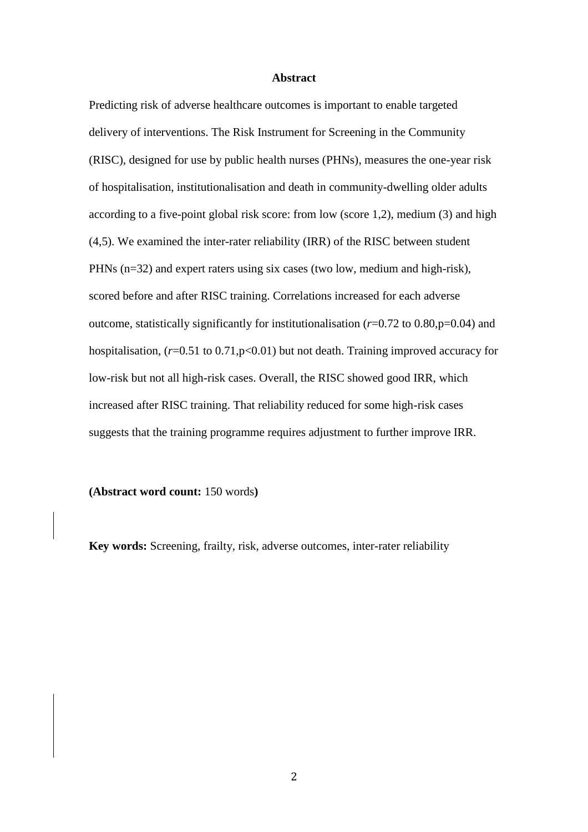### **Abstract**

Predicting risk of adverse healthcare outcomes is important to enable targeted delivery of interventions. The Risk Instrument for Screening in the Community (RISC), designed for use by public health nurses (PHNs), measures the one-year risk of hospitalisation, institutionalisation and death in community-dwelling older adults according to a five-point global risk score: from low (score 1,2), medium (3) and high (4,5). We examined the inter-rater reliability (IRR) of the RISC between student PHNs (n=32) and expert raters using six cases (two low, medium and high-risk), scored before and after RISC training. Correlations increased for each adverse outcome, statistically significantly for institutionalisation (*r*=0.72 to 0.80,p=0.04) and hospitalisation, ( $r=0.51$  to 0.71,p<0.01) but not death. Training improved accuracy for low-risk but not all high-risk cases. Overall, the RISC showed good IRR, which increased after RISC training. That reliability reduced for some high-risk cases suggests that the training programme requires adjustment to further improve IRR.

**(Abstract word count:** 150 words**)**

**Key words:** Screening, frailty, risk, adverse outcomes, inter-rater reliability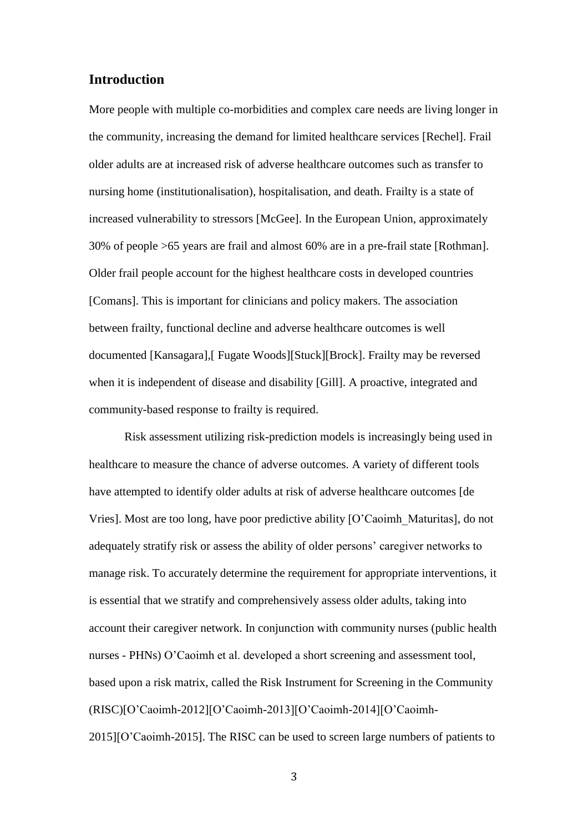# **Introduction**

More people with multiple co-morbidities and complex care needs are living longer in the community, increasing the demand for limited healthcare services [Rechel]. Frail older adults are at increased risk of adverse healthcare outcomes such as transfer to nursing home (institutionalisation), hospitalisation, and death. Frailty is a state of increased vulnerability to stressors [McGee]. In the European Union, approximately 30% of people >65 years are frail and almost 60% are in a pre-frail state [Rothman]. Older frail people account for the highest healthcare costs in developed countries [Comans]. This is important for clinicians and policy makers. The association between frailty, functional decline and adverse healthcare outcomes is well documented [Kansagara],[ Fugate Woods][Stuck][Brock]. Frailty may be reversed when it is independent of disease and disability [Gill]. A proactive, integrated and community-based response to frailty is required.

Risk assessment utilizing risk-prediction models is increasingly being used in healthcare to measure the chance of adverse outcomes. A variety of different tools have attempted to identify older adults at risk of adverse healthcare outcomes [de Vries]. Most are too long, have poor predictive ability [O'Caoimh\_Maturitas], do not adequately stratify risk or assess the ability of older persons' caregiver networks to manage risk. To accurately determine the requirement for appropriate interventions, it is essential that we stratify and comprehensively assess older adults, taking into account their caregiver network. In conjunction with community nurses (public health nurses - PHNs) O'Caoimh et al. developed a short screening and assessment tool, based upon a risk matrix, called the Risk Instrument for Screening in the Community (RISC)[O'Caoimh-2012][O'Caoimh-2013][O'Caoimh-2014][O'Caoimh-2015][O'Caoimh-2015]. The RISC can be used to screen large numbers of patients to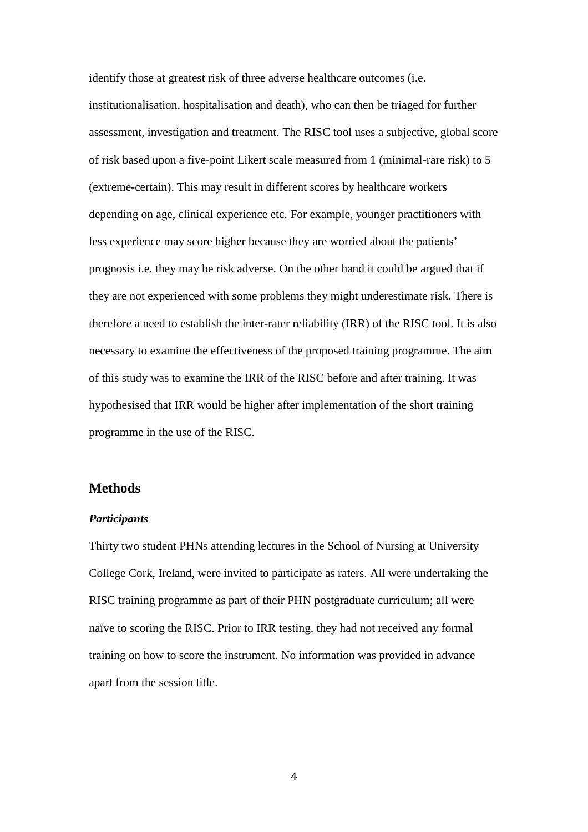identify those at greatest risk of three adverse healthcare outcomes (i.e. institutionalisation, hospitalisation and death), who can then be triaged for further assessment, investigation and treatment. The RISC tool uses a subjective, global score of risk based upon a five-point Likert scale measured from 1 (minimal-rare risk) to 5 (extreme-certain). This may result in different scores by healthcare workers depending on age, clinical experience etc. For example, younger practitioners with less experience may score higher because they are worried about the patients' prognosis i.e. they may be risk adverse. On the other hand it could be argued that if they are not experienced with some problems they might underestimate risk. There is therefore a need to establish the inter-rater reliability (IRR) of the RISC tool. It is also necessary to examine the effectiveness of the proposed training programme. The aim of this study was to examine the IRR of the RISC before and after training. It was hypothesised that IRR would be higher after implementation of the short training programme in the use of the RISC.

## **Methods**

#### *Participants*

Thirty two student PHNs attending lectures in the School of Nursing at University College Cork, Ireland, were invited to participate as raters. All were undertaking the RISC training programme as part of their PHN postgraduate curriculum; all were naïve to scoring the RISC. Prior to IRR testing, they had not received any formal training on how to score the instrument. No information was provided in advance apart from the session title.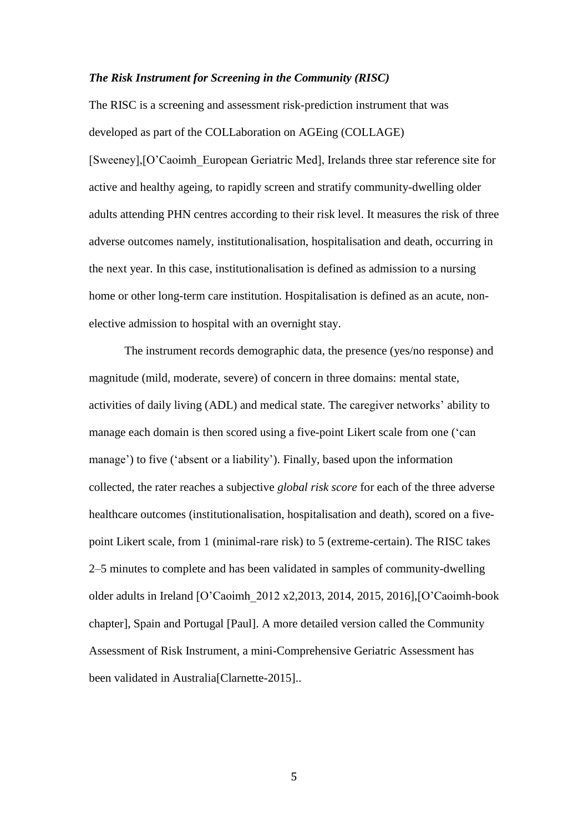#### *The Risk Instrument for Screening in the Community (RISC)*

The RISC is a screening and assessment risk-prediction instrument that was developed as part of the COLLaboration on AGEing (COLLAGE) [Sweeney],[O'Caoimh\_European Geriatric Med], Irelands three star reference site for active and healthy ageing, to rapidly screen and stratify community-dwelling older adults attending PHN centres according to their risk level. It measures the risk of three adverse outcomes namely, institutionalisation, hospitalisation and death, occurring in the next year. In this case, institutionalisation is defined as admission to a nursing home or other long-term care institution. Hospitalisation is defined as an acute, nonelective admission to hospital with an overnight stay.

The instrument records demographic data, the presence (yes/no response) and magnitude (mild, moderate, severe) of concern in three domains: mental state, activities of daily living (ADL) and medical state. The caregiver networks' ability to manage each domain is then scored using a five-point Likert scale from one ('can manage') to five ('absent or a liability'). Finally, based upon the information collected, the rater reaches a subjective *global risk score* for each of the three adverse healthcare outcomes (institutionalisation, hospitalisation and death), scored on a fivepoint Likert scale, from 1 (minimal-rare risk) to 5 (extreme-certain). The RISC takes 2–5 minutes to complete and has been validated in samples of community-dwelling older adults in Ireland [O'Caoimh\_2012 x2,2013, 2014, 2015, 2016],[O'Caoimh-book chapter], Spain and Portugal [Paul]. A more detailed version called the Community Assessment of Risk Instrument, a mini-Comprehensive Geriatric Assessment has been validated in Australia<sup>[Clarnette-2015]..</sup>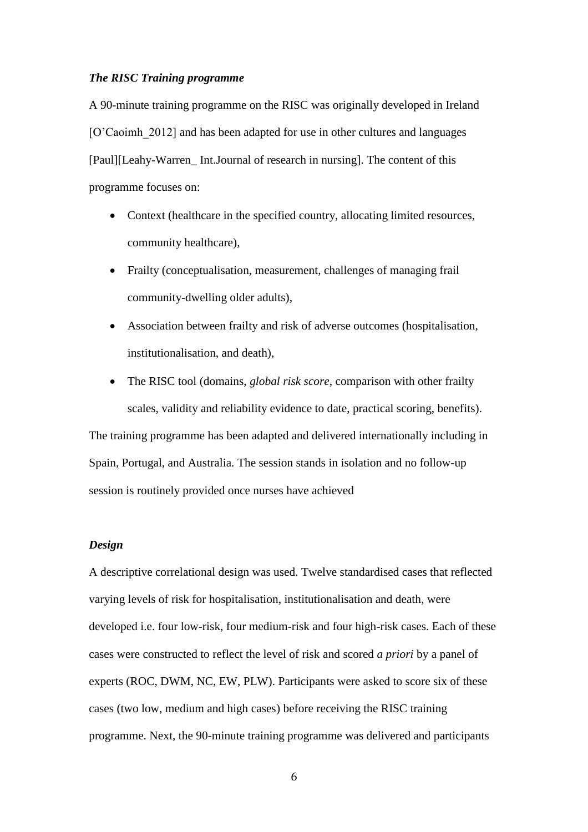### *The RISC Training programme*

A 90-minute training programme on the RISC was originally developed in Ireland [O'Caoimh\_2012] and has been adapted for use in other cultures and languages [Paul][Leahy-Warren\_ Int.Journal of research in nursing]. The content of this programme focuses on:

- Context (healthcare in the specified country, allocating limited resources, community healthcare),
- Frailty (conceptualisation, measurement, challenges of managing frail community-dwelling older adults),
- Association between frailty and risk of adverse outcomes (hospitalisation, institutionalisation, and death),
- The RISC tool (domains, *global risk score*, comparison with other frailty scales, validity and reliability evidence to date, practical scoring, benefits).

The training programme has been adapted and delivered internationally including in Spain, Portugal, and Australia. The session stands in isolation and no follow-up session is routinely provided once nurses have achieved

## *Design*

A descriptive correlational design was used. Twelve standardised cases that reflected varying levels of risk for hospitalisation, institutionalisation and death, were developed i.e. four low-risk, four medium-risk and four high-risk cases. Each of these cases were constructed to reflect the level of risk and scored *a priori* by a panel of experts (ROC, DWM, NC, EW, PLW). Participants were asked to score six of these cases (two low, medium and high cases) before receiving the RISC training programme. Next, the 90-minute training programme was delivered and participants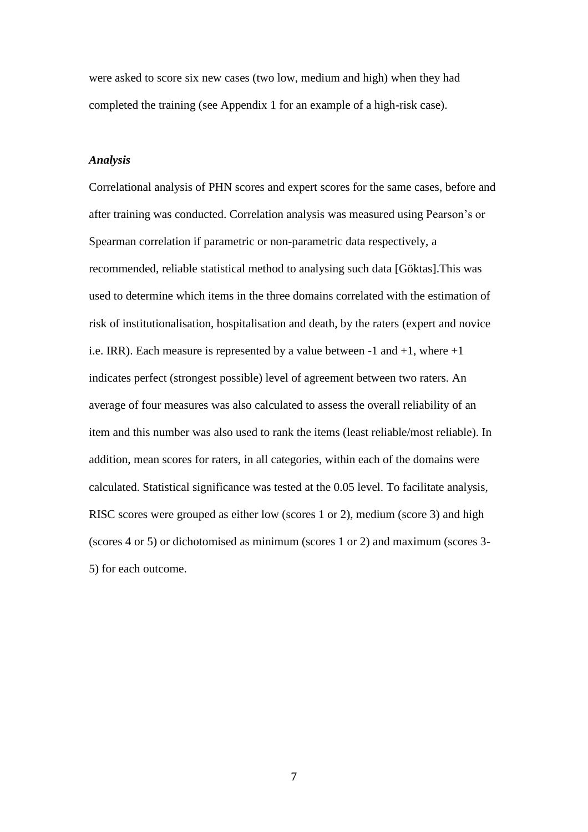were asked to score six new cases (two low, medium and high) when they had completed the training (see Appendix 1 for an example of a high-risk case).

## *Analysis*

Correlational analysis of PHN scores and expert scores for the same cases, before and after training was conducted. Correlation analysis was measured using Pearson's or Spearman correlation if parametric or non-parametric data respectively, a recommended, reliable statistical method to analysing such data [Göktas].This was used to determine which items in the three domains correlated with the estimation of risk of institutionalisation, hospitalisation and death, by the raters (expert and novice i.e. IRR). Each measure is represented by a value between -1 and +1, where +1 indicates perfect (strongest possible) level of agreement between two raters. An average of four measures was also calculated to assess the overall reliability of an item and this number was also used to rank the items (least reliable/most reliable). In addition, mean scores for raters, in all categories, within each of the domains were calculated. Statistical significance was tested at the 0.05 level. To facilitate analysis, RISC scores were grouped as either low (scores 1 or 2), medium (score 3) and high (scores 4 or 5) or dichotomised as minimum (scores 1 or 2) and maximum (scores 3- 5) for each outcome.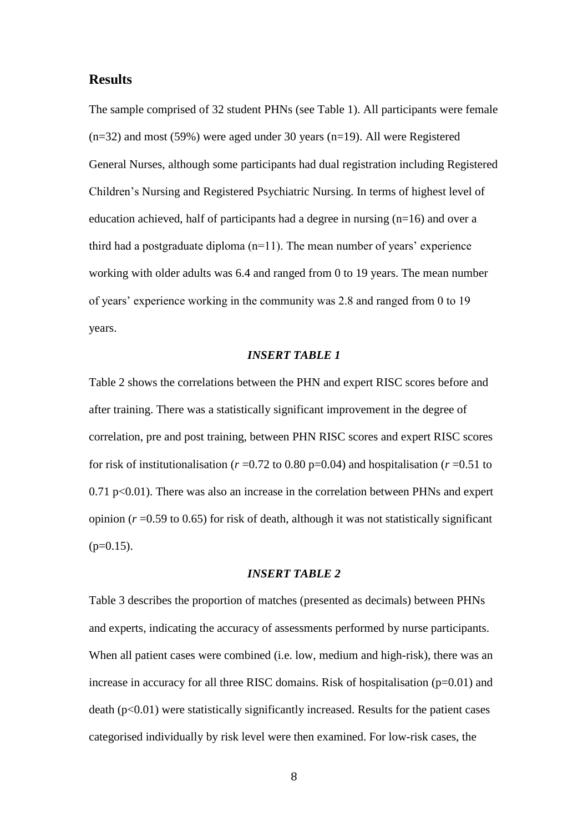# **Results**

The sample comprised of 32 student PHNs (see Table 1). All participants were female (n=32) and most (59%) were aged under 30 years (n=19). All were Registered General Nurses, although some participants had dual registration including Registered Children's Nursing and Registered Psychiatric Nursing. In terms of highest level of education achieved, half of participants had a degree in nursing  $(n=16)$  and over a third had a postgraduate diploma  $(n=11)$ . The mean number of years' experience working with older adults was 6.4 and ranged from 0 to 19 years. The mean number of years' experience working in the community was 2.8 and ranged from 0 to 19 years.

## *INSERT TABLE 1*

Table 2 shows the correlations between the PHN and expert RISC scores before and after training. There was a statistically significant improvement in the degree of correlation, pre and post training, between PHN RISC scores and expert RISC scores for risk of institutionalisation ( $r = 0.72$  to 0.80 p=0.04) and hospitalisation ( $r = 0.51$  to 0.71 p<0.01). There was also an increase in the correlation between PHNs and expert opinion (*r* =0.59 to 0.65) for risk of death, although it was not statistically significant  $(p=0.15)$ .

#### *INSERT TABLE 2*

Table 3 describes the proportion of matches (presented as decimals) between PHNs and experts, indicating the accuracy of assessments performed by nurse participants. When all patient cases were combined (i.e. low, medium and high-risk), there was an increase in accuracy for all three RISC domains. Risk of hospitalisation (p=0.01) and  $\text{death}$  ( $p<0.01$ ) were statistically significantly increased. Results for the patient cases categorised individually by risk level were then examined. For low-risk cases, the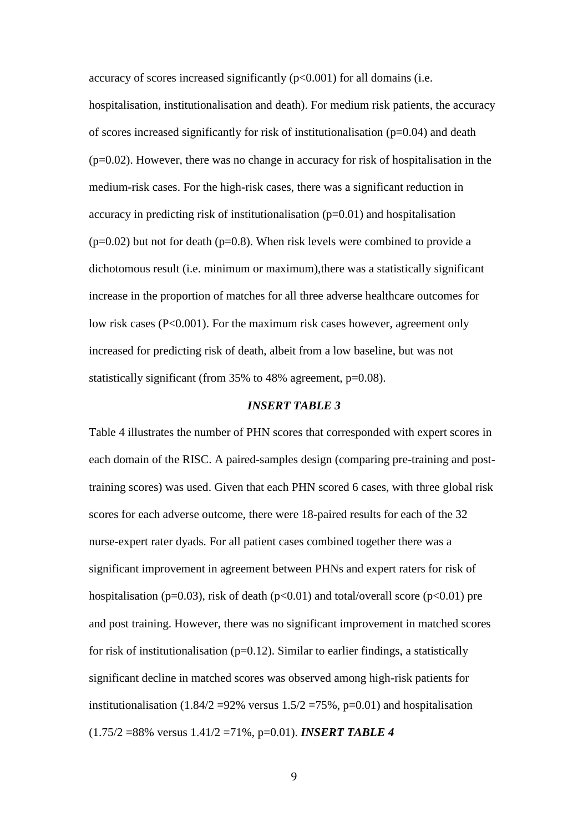accuracy of scores increased significantly (p<0.001) for all domains (i.e. hospitalisation, institutionalisation and death). For medium risk patients, the accuracy of scores increased significantly for risk of institutionalisation  $(p=0.04)$  and death  $(p=0.02)$ . However, there was no change in accuracy for risk of hospitalisation in the medium-risk cases. For the high-risk cases, there was a significant reduction in accuracy in predicting risk of institutionalisation (p=0.01) and hospitalisation  $(p=0.02)$  but not for death  $(p=0.8)$ . When risk levels were combined to provide a dichotomous result (i.e. minimum or maximum),there was a statistically significant increase in the proportion of matches for all three adverse healthcare outcomes for low risk cases (P<0.001). For the maximum risk cases however, agreement only increased for predicting risk of death, albeit from a low baseline, but was not statistically significant (from 35% to 48% agreement, p=0.08).

### *INSERT TABLE 3*

Table 4 illustrates the number of PHN scores that corresponded with expert scores in each domain of the RISC. A paired-samples design (comparing pre-training and posttraining scores) was used. Given that each PHN scored 6 cases, with three global risk scores for each adverse outcome, there were 18-paired results for each of the 32 nurse-expert rater dyads. For all patient cases combined together there was a significant improvement in agreement between PHNs and expert raters for risk of hospitalisation (p=0.03), risk of death (p<0.01) and total/overall score (p<0.01) pre and post training. However, there was no significant improvement in matched scores for risk of institutionalisation ( $p=0.12$ ). Similar to earlier findings, a statistically significant decline in matched scores was observed among high-risk patients for institutionalisation (1.84/2 = 92% versus  $1.5/2 = 75$ %, p=0.01) and hospitalisation (1.75/2 =88% versus 1.41/2 =71%, p=0.01). *INSERT TABLE 4*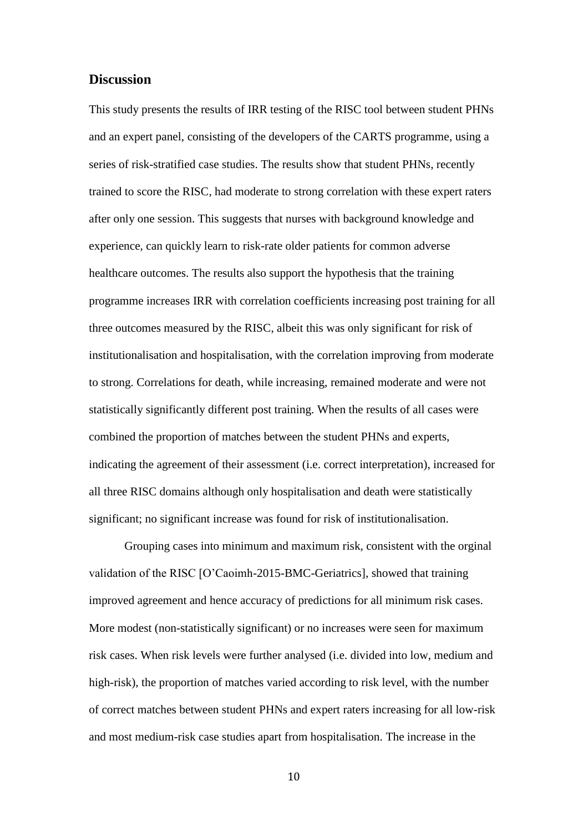# **Discussion**

This study presents the results of IRR testing of the RISC tool between student PHNs and an expert panel, consisting of the developers of the CARTS programme, using a series of risk-stratified case studies. The results show that student PHNs, recently trained to score the RISC, had moderate to strong correlation with these expert raters after only one session. This suggests that nurses with background knowledge and experience, can quickly learn to risk-rate older patients for common adverse healthcare outcomes. The results also support the hypothesis that the training programme increases IRR with correlation coefficients increasing post training for all three outcomes measured by the RISC, albeit this was only significant for risk of institutionalisation and hospitalisation, with the correlation improving from moderate to strong. Correlations for death, while increasing, remained moderate and were not statistically significantly different post training. When the results of all cases were combined the proportion of matches between the student PHNs and experts, indicating the agreement of their assessment (i.e. correct interpretation), increased for all three RISC domains although only hospitalisation and death were statistically significant; no significant increase was found for risk of institutionalisation.

Grouping cases into minimum and maximum risk, consistent with the orginal validation of the RISC [O'Caoimh-2015-BMC-Geriatrics], showed that training improved agreement and hence accuracy of predictions for all minimum risk cases. More modest (non-statistically significant) or no increases were seen for maximum risk cases. When risk levels were further analysed (i.e. divided into low, medium and high-risk), the proportion of matches varied according to risk level, with the number of correct matches between student PHNs and expert raters increasing for all low-risk and most medium-risk case studies apart from hospitalisation. The increase in the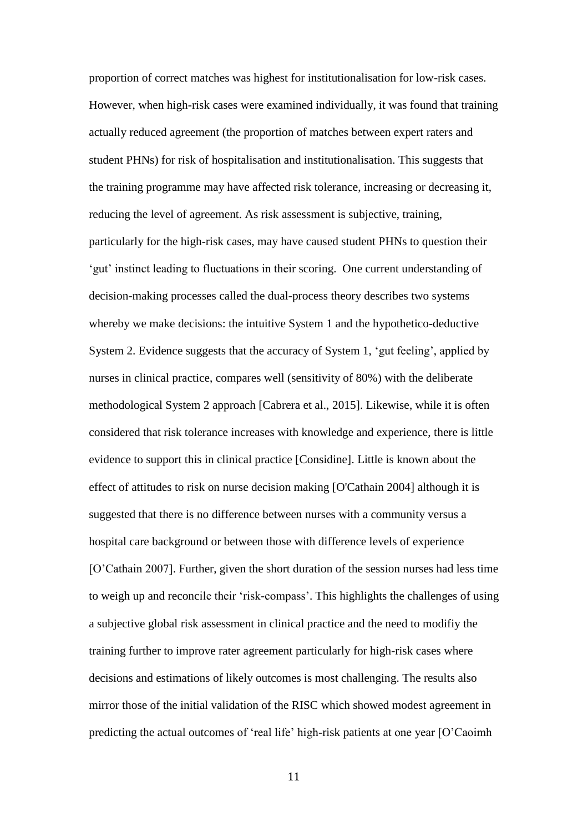proportion of correct matches was highest for institutionalisation for low-risk cases. However, when high-risk cases were examined individually, it was found that training actually reduced agreement (the proportion of matches between expert raters and student PHNs) for risk of hospitalisation and institutionalisation. This suggests that the training programme may have affected risk tolerance, increasing or decreasing it, reducing the level of agreement. As risk assessment is subjective, training, particularly for the high-risk cases, may have caused student PHNs to question their 'gut' instinct leading to fluctuations in their scoring. One current understanding of decision-making processes called the dual-process theory describes two systems whereby we make decisions: the intuitive System 1 and the hypothetico-deductive System 2. Evidence suggests that the accuracy of System 1, 'gut feeling', applied by nurses in clinical practice, compares well (sensitivity of 80%) with the deliberate methodological System 2 approach [Cabrera et al., 2015]. Likewise, while it is often considered that risk tolerance increases with knowledge and experience, there is little evidence to support this in clinical practice [Considine]. Little is known about the effect of attitudes to risk on nurse decision making [O'Cathain 2004] although it is suggested that there is no difference between nurses with a community versus a hospital care background or between those with difference levels of experience [O'Cathain 2007]. Further, given the short duration of the session nurses had less time to weigh up and reconcile their 'risk-compass'. This highlights the challenges of using a subjective global risk assessment in clinical practice and the need to modifiy the training further to improve rater agreement particularly for high-risk cases where decisions and estimations of likely outcomes is most challenging. The results also mirror those of the initial validation of the RISC which showed modest agreement in predicting the actual outcomes of 'real life' high-risk patients at one year [O'Caoimh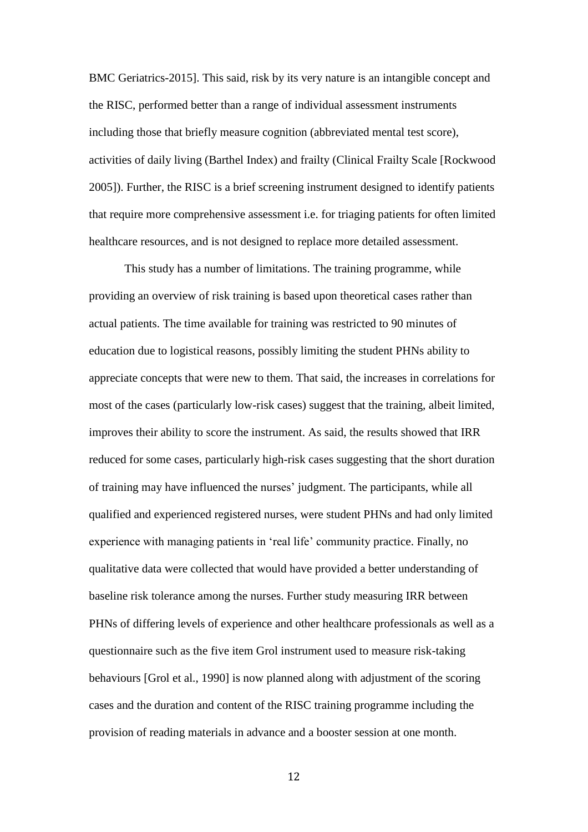BMC Geriatrics-2015]. This said, risk by its very nature is an intangible concept and the RISC, performed better than a range of individual assessment instruments including those that briefly measure cognition (abbreviated mental test score), activities of daily living (Barthel Index) and frailty (Clinical Frailty Scale [Rockwood 2005]). Further, the RISC is a brief screening instrument designed to identify patients that require more comprehensive assessment i.e. for triaging patients for often limited healthcare resources, and is not designed to replace more detailed assessment.

This study has a number of limitations. The training programme, while providing an overview of risk training is based upon theoretical cases rather than actual patients. The time available for training was restricted to 90 minutes of education due to logistical reasons, possibly limiting the student PHNs ability to appreciate concepts that were new to them. That said, the increases in correlations for most of the cases (particularly low-risk cases) suggest that the training, albeit limited, improves their ability to score the instrument. As said, the results showed that IRR reduced for some cases, particularly high-risk cases suggesting that the short duration of training may have influenced the nurses' judgment. The participants, while all qualified and experienced registered nurses, were student PHNs and had only limited experience with managing patients in 'real life' community practice. Finally, no qualitative data were collected that would have provided a better understanding of baseline risk tolerance among the nurses. Further study measuring IRR between PHNs of differing levels of experience and other healthcare professionals as well as a questionnaire such as the five item Grol instrument used to measure risk-taking behaviours [Grol et al., 1990] is now planned along with adjustment of the scoring cases and the duration and content of the RISC training programme including the provision of reading materials in advance and a booster session at one month.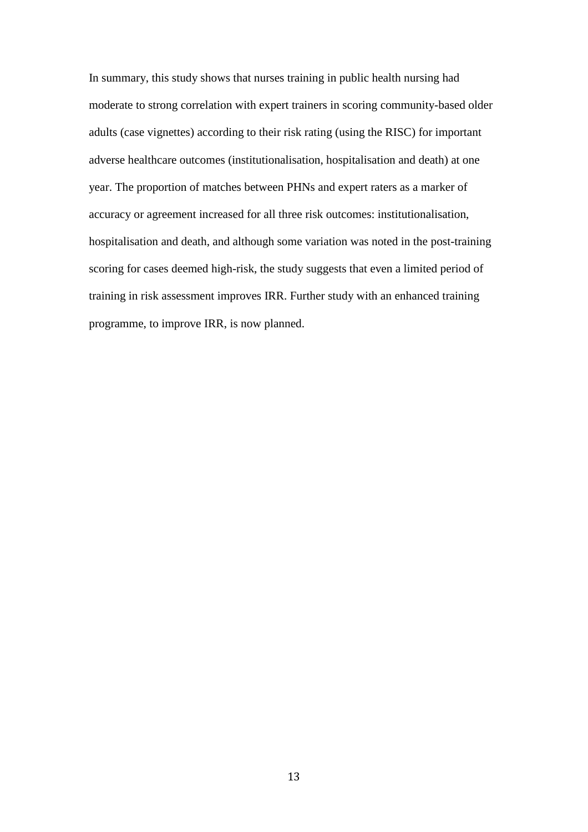In summary, this study shows that nurses training in public health nursing had moderate to strong correlation with expert trainers in scoring community-based older adults (case vignettes) according to their risk rating (using the RISC) for important adverse healthcare outcomes (institutionalisation, hospitalisation and death) at one year. The proportion of matches between PHNs and expert raters as a marker of accuracy or agreement increased for all three risk outcomes: institutionalisation, hospitalisation and death, and although some variation was noted in the post-training scoring for cases deemed high-risk, the study suggests that even a limited period of training in risk assessment improves IRR. Further study with an enhanced training programme, to improve IRR, is now planned.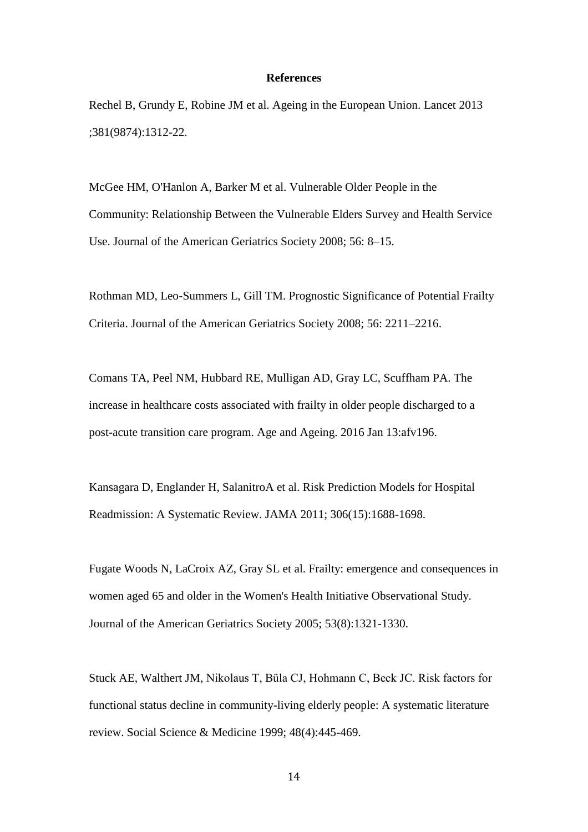### **References**

Rechel B, Grundy E, Robine JM et al. Ageing in the European Union. Lancet 2013 ;381(9874):1312-22.

McGee HM, O'Hanlon A, Barker M et al. Vulnerable Older People in the Community: Relationship Between the Vulnerable Elders Survey and Health Service Use. Journal of the American Geriatrics Society 2008; 56: 8–15.

Rothman MD, Leo-Summers L, Gill TM. Prognostic Significance of Potential Frailty Criteria. Journal of the American Geriatrics Society 2008; 56: 2211–2216.

Comans TA, Peel NM, Hubbard RE, Mulligan AD, Gray LC, Scuffham PA. The increase in healthcare costs associated with frailty in older people discharged to a post-acute transition care program. Age and Ageing. 2016 Jan 13:afv196.

Kansagara D, Englander H, SalanitroA et al. Risk Prediction Models for Hospital Readmission: A Systematic Review. JAMA 2011; 306(15):1688-1698.

Fugate Woods N, LaCroix AZ, Gray SL et al. Frailty: emergence and consequences in women aged 65 and older in the Women's Health Initiative Observational Study. Journal of the American Geriatrics Society 2005; 53(8):1321-1330.

Stuck AE, Walthert JM, Nikolaus T, Büla CJ, Hohmann C, Beck JC. Risk factors for functional status decline in community-living elderly people: A systematic literature review. Social Science & Medicine 1999; 48(4):445-469.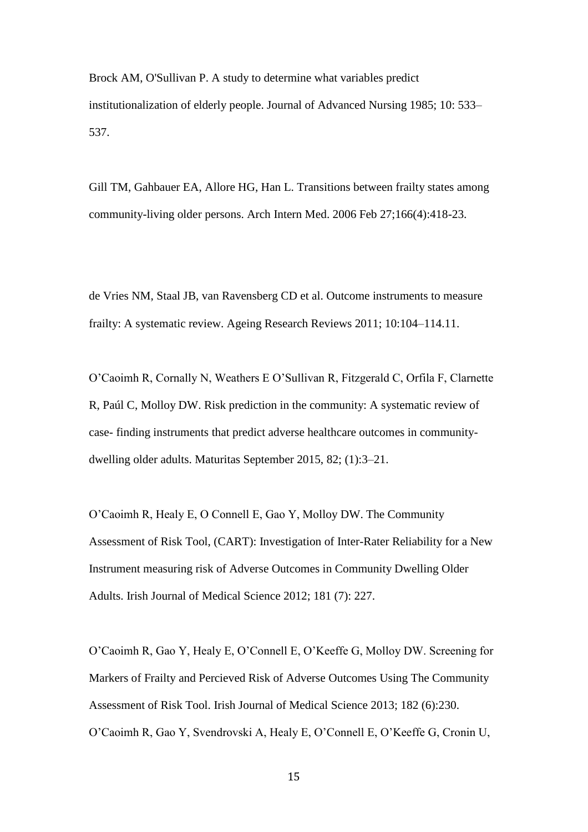Brock AM, O'Sullivan P. A study to determine what variables predict institutionalization of elderly people. Journal of Advanced Nursing 1985; 10: 533– 537.

Gill TM, Gahbauer EA, Allore HG, Han L. Transitions between frailty states among community-living older persons. Arch Intern Med. 2006 Feb 27;166(4):418-23.

de Vries NM, Staal JB, van Ravensberg CD et al. Outcome instruments to measure frailty: A systematic review. Ageing Research Reviews 2011; 10:104–114.11.

O'Caoimh R, Cornally N, Weathers E O'Sullivan R, Fitzgerald C, Orfila F, Clarnette R, Paúl C, Molloy DW. Risk prediction in the community: A systematic review of case- finding instruments that predict adverse healthcare outcomes in communitydwelling older adults. Maturitas September 2015, 82; (1):3–21.

O'Caoimh R, Healy E, O Connell E, Gao Y, Molloy DW. The Community Assessment of Risk Tool, (CART): Investigation of Inter-Rater Reliability for a New Instrument measuring risk of Adverse Outcomes in Community Dwelling Older Adults. Irish Journal of Medical Science 2012; 181 (7): 227.

O'Caoimh R, Gao Y, Healy E, O'Connell E, O'Keeffe G, Molloy DW. Screening for Markers of Frailty and Percieved Risk of Adverse Outcomes Using The Community Assessment of Risk Tool. Irish Journal of Medical Science 2013; 182 (6):230. O'Caoimh R, Gao Y, Svendrovski A, Healy E, O'Connell E, O'Keeffe G, Cronin U,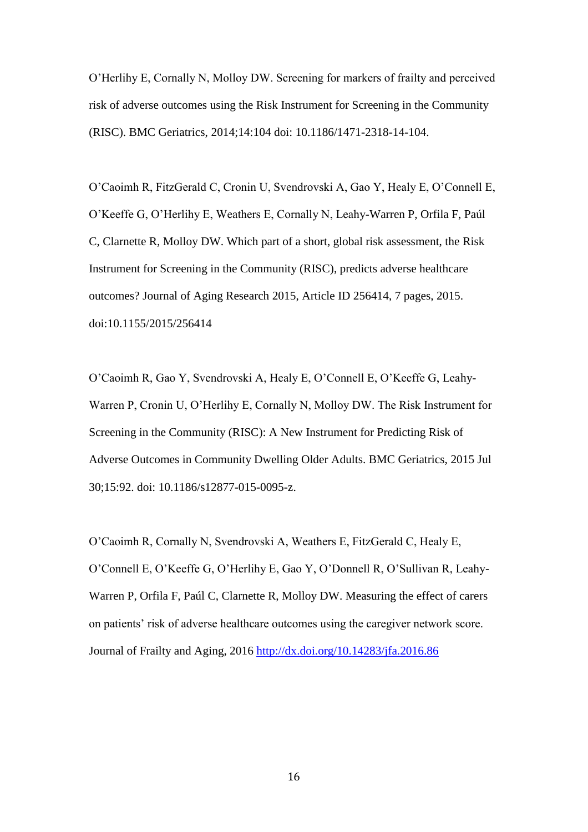O'Herlihy E, Cornally N, Molloy DW. Screening for markers of frailty and perceived risk of adverse outcomes using the Risk Instrument for Screening in the Community (RISC). BMC Geriatrics, 2014;14:104 doi: 10.1186/1471-2318-14-104.

O'Caoimh R, FitzGerald C, Cronin U, Svendrovski A, Gao Y, Healy E, O'Connell E, O'Keeffe G, O'Herlihy E, Weathers E, Cornally N, Leahy-Warren P, Orfila F, Paúl C, Clarnette R, Molloy DW. Which part of a short, global risk assessment, the Risk Instrument for Screening in the Community (RISC), predicts adverse healthcare outcomes? Journal of Aging Research 2015, Article ID 256414, 7 pages, 2015. doi:10.1155/2015/256414

O'Caoimh R, Gao Y, Svendrovski A, Healy E, O'Connell E, O'Keeffe G, Leahy-Warren P, Cronin U, O'Herlihy E, Cornally N, Molloy DW. The Risk Instrument for Screening in the Community (RISC): A New Instrument for Predicting Risk of Adverse Outcomes in Community Dwelling Older Adults. BMC Geriatrics, 2015 Jul 30;15:92. doi: 10.1186/s12877-015-0095-z.

O'Caoimh R, Cornally N, Svendrovski A, Weathers E, FitzGerald C, Healy E, O'Connell E, O'Keeffe G, O'Herlihy E, Gao Y, O'Donnell R, O'Sullivan R, Leahy-Warren P, Orfila F, Paúl C, Clarnette R, Molloy DW. Measuring the effect of carers on patients' risk of adverse healthcare outcomes using the caregiver network score. Journal of Frailty and Aging, 2016<http://dx.doi.org/10.14283/jfa.2016.86>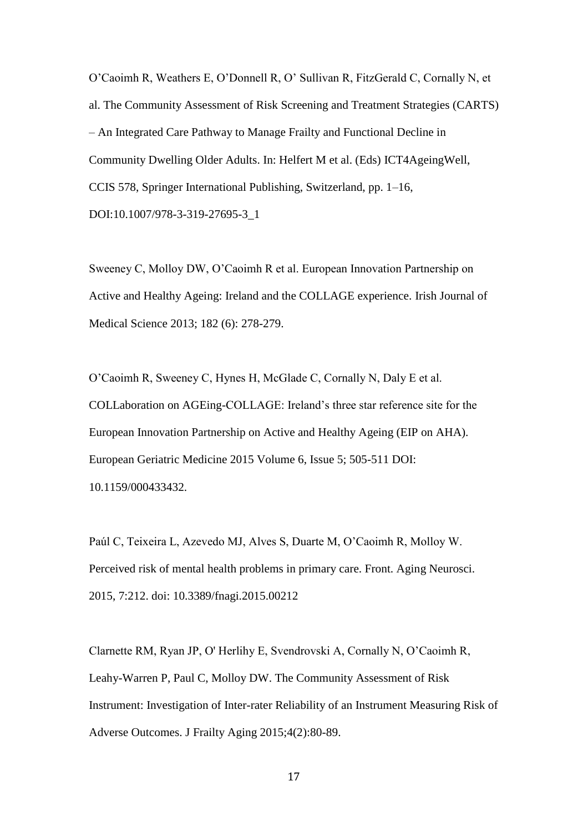O'Caoimh R, Weathers E, O'Donnell R, O' Sullivan R, FitzGerald C, Cornally N, et al. The Community Assessment of Risk Screening and Treatment Strategies (CARTS) – An Integrated Care Pathway to Manage Frailty and Functional Decline in Community Dwelling Older Adults. In: Helfert M et al. (Eds) ICT4AgeingWell, CCIS 578, Springer International Publishing, Switzerland, pp. 1–16, DOI:10.1007/978-3-319-27695-3\_1

Sweeney C, Molloy DW, O'Caoimh R et al. European Innovation Partnership on Active and Healthy Ageing: Ireland and the COLLAGE experience. Irish Journal of Medical Science 2013; 182 (6): 278-279.

O'Caoimh R, Sweeney C, Hynes H, McGlade C, Cornally N, Daly E et al. COLLaboration on AGEing-COLLAGE: Ireland's three star reference site for the European Innovation Partnership on Active and Healthy Ageing (EIP on AHA). European Geriatric Medicine 2015 Volume 6, Issue 5; 505-511 DOI: 10.1159/000433432.

Paúl C, Teixeira L, Azevedo MJ, Alves S, Duarte M, O'Caoimh R, Molloy W. Perceived risk of mental health problems in primary care. Front. Aging Neurosci. 2015, 7:212. doi: 10.3389/fnagi.2015.00212

Clarnette RM, Ryan JP, O' Herlihy E, Svendrovski A, Cornally N, O'Caoimh R, Leahy-Warren P, Paul C, Molloy DW. The Community Assessment of Risk Instrument: Investigation of Inter-rater Reliability of an Instrument Measuring Risk of Adverse Outcomes. J Frailty Aging 2015;4(2):80-89.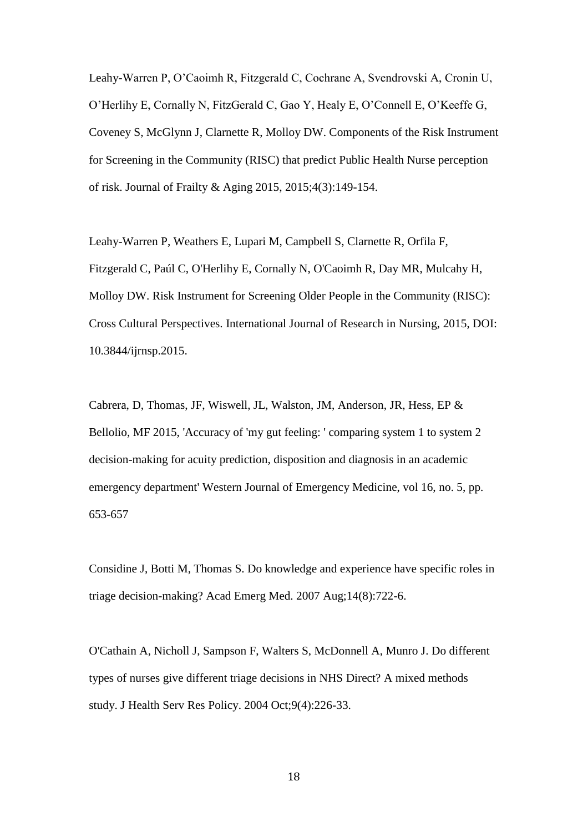Leahy-Warren P, O'Caoimh R, Fitzgerald C, Cochrane A, Svendrovski A, Cronin U, O'Herlihy E, Cornally N, FitzGerald C, Gao Y, Healy E, O'Connell E, O'Keeffe G, Coveney S, McGlynn J, Clarnette R, Molloy DW. Components of the Risk Instrument for Screening in the Community (RISC) that predict Public Health Nurse perception of risk. Journal of Frailty & Aging 2015, 2015;4(3):149-154.

Leahy-Warren P, Weathers E, Lupari M, Campbell S, Clarnette R, Orfila F, Fitzgerald C, Paúl C, O'Herlihy E, Cornally N, O'Caoimh R, Day MR, Mulcahy H, Molloy DW. Risk Instrument for Screening Older People in the Community (RISC): Cross Cultural Perspectives. International Journal of Research in Nursing, 2015, DOI: 10.3844/ijrnsp.2015.

Cabrera, D, Thomas, JF, Wiswell, JL, Walston, JM, Anderson, JR, Hess, EP & Bellolio, MF 2015, 'Accuracy of 'my gut feeling: ' comparing system 1 to system 2 decision-making for acuity prediction, disposition and diagnosis in an academic emergency department' Western Journal of Emergency Medicine, vol 16, no. 5, pp. 653-657

Considine J, Botti M, Thomas S. Do knowledge and experience have specific roles in triage decision-making? Acad Emerg Med. 2007 Aug;14(8):722-6.

O'Cathain A, Nicholl J, Sampson F, Walters S, McDonnell A, Munro J. Do different types of nurses give different triage decisions in NHS Direct? A mixed methods study. J Health Serv Res Policy. 2004 Oct;9(4):226-33.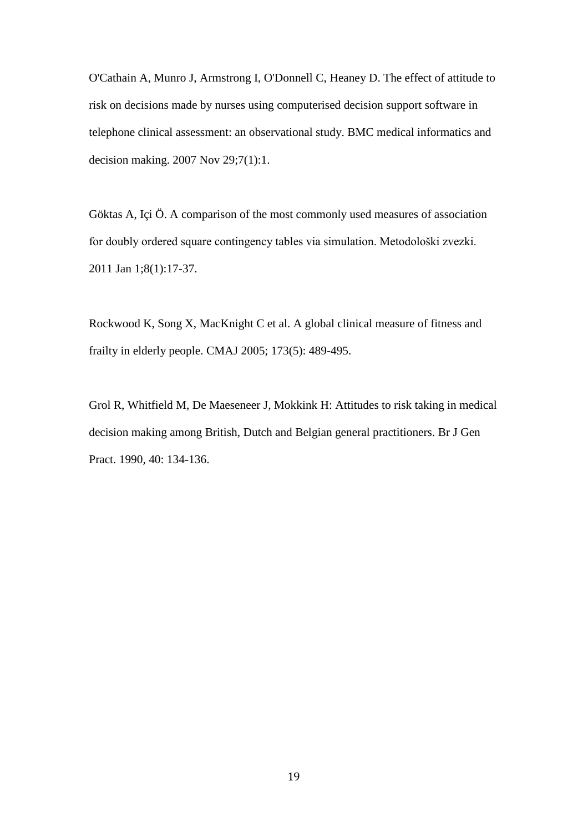O'Cathain A, Munro J, Armstrong I, O'Donnell C, Heaney D. The effect of attitude to risk on decisions made by nurses using computerised decision support software in telephone clinical assessment: an observational study. BMC medical informatics and decision making. 2007 Nov 29;7(1):1.

Göktas A, Içi Ö. A comparison of the most commonly used measures of association for doubly ordered square contingency tables via simulation. Metodološki zvezki. 2011 Jan 1;8(1):17-37.

Rockwood K, Song X, MacKnight C et al. A global clinical measure of fitness and frailty in elderly people. CMAJ 2005; 173(5): 489-495.

Grol R, Whitfield M, De Maeseneer J, Mokkink H: Attitudes to risk taking in medical decision making among British, Dutch and Belgian general practitioners. Br J Gen Pract. 1990, 40: 134-136.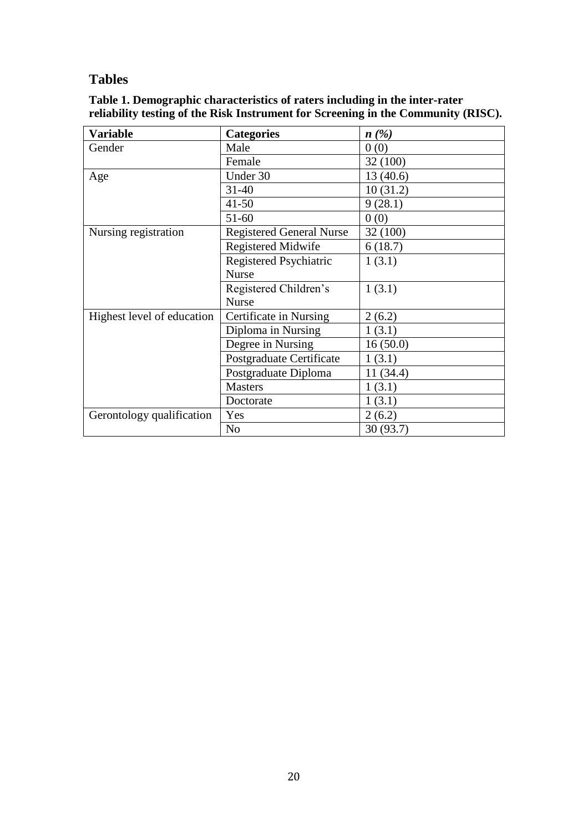# **Tables**

| Table 1. Demographic characteristics of raters including in the inter-rater |                                                                                   |
|-----------------------------------------------------------------------------|-----------------------------------------------------------------------------------|
|                                                                             | reliability testing of the Risk Instrument for Screening in the Community (RISC). |
|                                                                             |                                                                                   |

| <b>Variable</b>            | <b>Categories</b>               | n(%)      |
|----------------------------|---------------------------------|-----------|
| Gender                     | Male                            | 0(0)      |
|                            | Female                          | 32 (100)  |
| Age                        | Under 30                        | 13(40.6)  |
|                            | $31 - 40$                       | 10(31.2)  |
|                            | $41 - 50$                       | 9(28.1)   |
|                            | $51-60$                         | 0(0)      |
| Nursing registration       | <b>Registered General Nurse</b> | 32 (100)  |
|                            | <b>Registered Midwife</b>       | 6(18.7)   |
|                            | Registered Psychiatric          | 1(3.1)    |
|                            | <b>Nurse</b>                    |           |
|                            | Registered Children's           | 1(3.1)    |
|                            | <b>Nurse</b>                    |           |
| Highest level of education | Certificate in Nursing          | 2(6.2)    |
|                            | Diploma in Nursing              | 1(3.1)    |
|                            | Degree in Nursing               | 16(50.0)  |
|                            | Postgraduate Certificate        | 1(3.1)    |
|                            | Postgraduate Diploma            | 11 (34.4) |
|                            | <b>Masters</b>                  | 1(3.1)    |
|                            | Doctorate                       | 1(3.1)    |
| Gerontology qualification  | Yes                             | 2(6.2)    |
|                            | N <sub>o</sub>                  | 30(93.7)  |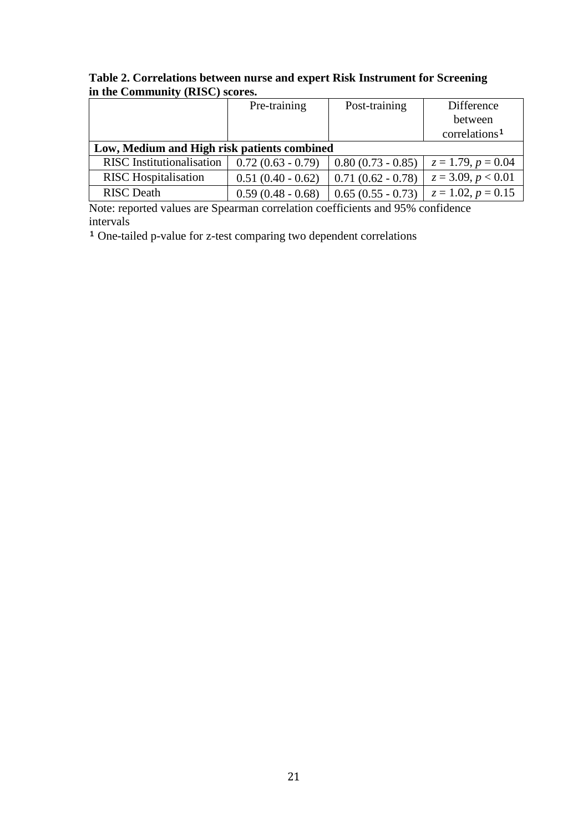|                                             | Pre-training        | Post-training       | Difference                |
|---------------------------------------------|---------------------|---------------------|---------------------------|
|                                             |                     |                     | between                   |
|                                             |                     |                     | correlations <sup>1</sup> |
| Low, Medium and High risk patients combined |                     |                     |                           |
| <b>RISC</b> Institutionalisation            | $0.72(0.63 - 0.79)$ | $0.80(0.73 - 0.85)$ | $z = 1.79, p = 0.04$      |
| <b>RISC</b> Hospitalisation                 | $0.51(0.40 - 0.62)$ | $0.71(0.62 - 0.78)$ | $z = 3.09, p < 0.01$      |
| <b>RISC</b> Death                           | $0.59(0.48 - 0.68)$ | $0.65(0.55 - 0.73)$ | $z = 1.02, p = 0.15$      |

**Table 2. Correlations between nurse and expert Risk Instrument for Screening in the Community (RISC) scores.**

Note: reported values are Spearman correlation coefficients and 95% confidence intervals

<sup>1</sup> One-tailed p-value for z-test comparing two dependent correlations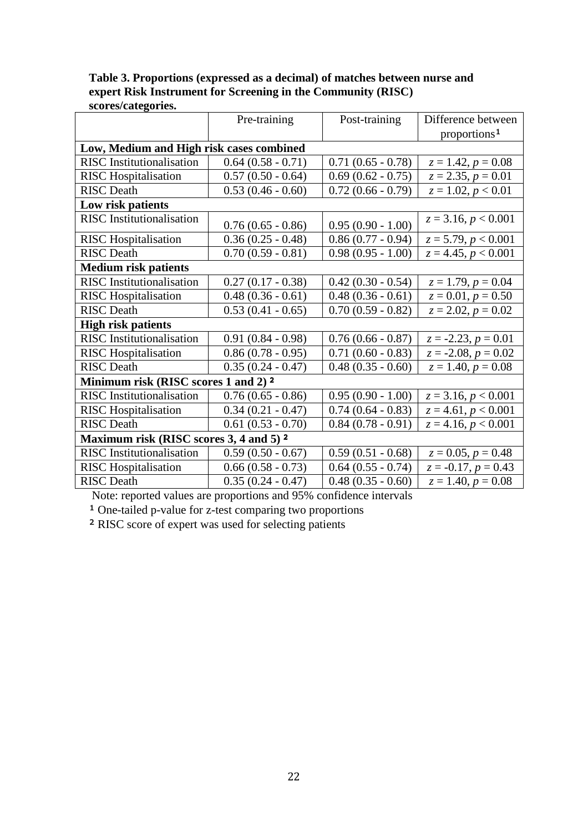|                                                    | Pre-training           | Post-training          | Difference between       |
|----------------------------------------------------|------------------------|------------------------|--------------------------|
|                                                    |                        |                        | proportions <sup>1</sup> |
| Low, Medium and High risk cases combined           |                        |                        |                          |
| <b>RISC</b> Institutionalisation                   | $0.64$ $(0.58 - 0.71)$ | $0.71(0.65 - 0.78)$    | $z = 1.42, p = 0.08$     |
| <b>RISC</b> Hospitalisation                        | $0.57(0.50 - 0.64)$    | $0.69(0.62 - 0.75)$    | $z = 2.35, p = 0.01$     |
| <b>RISC</b> Death                                  | $0.53(0.46 - 0.60)$    | $0.72(0.66 - 0.79)$    | $z = 1.02, p < 0.01$     |
| Low risk patients                                  |                        |                        |                          |
| <b>RISC</b> Institutionalisation                   | $0.76(0.65 - 0.86)$    | $0.95(0.90 - 1.00)$    | $z = 3.16, p < 0.001$    |
| <b>RISC</b> Hospitalisation                        | $0.36(0.25 - 0.48)$    | $0.86(0.77 - 0.94)$    | $z = 5.79, p < 0.001$    |
| <b>RISC</b> Death                                  | $0.70(0.59 - 0.81)$    | $0.98(0.95 - 1.00)$    | $z = 4.45, p < 0.001$    |
| <b>Medium risk patients</b>                        |                        |                        |                          |
| <b>RISC</b> Institutionalisation                   | $0.27(0.17 - 0.38)$    | $0.42(0.30 - 0.54)$    | $z = 1.79, p = 0.04$     |
| <b>RISC</b> Hospitalisation                        | $0.48(0.36 - 0.61)$    | $0.48(0.36 - 0.61)$    | $z = 0.01, p = 0.50$     |
| <b>RISC</b> Death                                  | $0.53(0.41 - 0.65)$    | $0.70(0.59 - 0.82)$    | $z = 2.02, p = 0.02$     |
| <b>High risk patients</b>                          |                        |                        |                          |
| <b>RISC</b> Institutionalisation                   | $0.91(0.84 - 0.98)$    | $0.76(0.66 - 0.87)$    | $z = -2.23, p = 0.01$    |
| <b>RISC</b> Hospitalisation                        | $0.86(0.78 - 0.95)$    | $0.71(0.60 - 0.83)$    | $z = -2.08, p = 0.02$    |
| <b>RISC</b> Death                                  | $0.35(0.24 - 0.47)$    | $0.48(0.35 - 0.60)$    | $z = 1.40, p = 0.08$     |
| Minimum risk (RISC scores 1 and 2) <sup>2</sup>    |                        |                        |                          |
| <b>RISC</b> Institutionalisation                   | $0.76(0.65 - 0.86)$    | $0.95(0.90 - 1.00)$    | $z = 3.16, p < 0.001$    |
| <b>RISC</b> Hospitalisation                        | $0.34(0.21 - 0.47)$    | $0.74(0.64 - 0.83)$    | $z = 4.61, p < 0.001$    |
| <b>RISC</b> Death                                  | $0.61$ $(0.53 - 0.70)$ | $0.84(0.78-0.91)$      | $z = 4.16, p < 0.001$    |
| Maximum risk (RISC scores 3, 4 and 5) <sup>2</sup> |                        |                        |                          |
| <b>RISC</b> Institutionalisation                   | $0.59(0.50 - 0.67)$    | $0.59(0.51 - 0.68)$    | $z = 0.05, p = 0.48$     |
| <b>RISC</b> Hospitalisation                        | $0.66(0.58 - 0.73)$    | $0.64$ $(0.55 - 0.74)$ | $z = -0.17, p = 0.43$    |
| <b>RISC</b> Death                                  | $0.35(0.24 - 0.47)$    | $0.48(0.35 - 0.60)$    | $z = 1.40, p = 0.08$     |

**Table 3. Proportions (expressed as a decimal) of matches between nurse and expert Risk Instrument for Screening in the Community (RISC) scores/categories.**

Note: reported values are proportions and 95% confidence intervals

<sup>1</sup> One-tailed p-value for z-test comparing two proportions

² RISC score of expert was used for selecting patients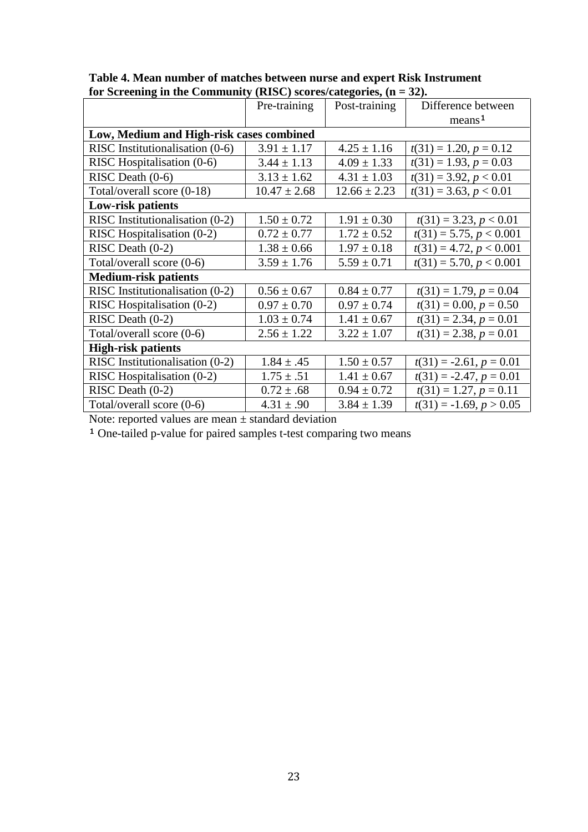|                                          | Pre-training     | Post-training    | Difference between        |
|------------------------------------------|------------------|------------------|---------------------------|
|                                          |                  |                  | means <sup>1</sup>        |
| Low, Medium and High-risk cases combined |                  |                  |                           |
| RISC Institutionalisation (0-6)          | $3.91 \pm 1.17$  | $4.25 \pm 1.16$  | $t(31) = 1.20, p = 0.12$  |
| RISC Hospitalisation (0-6)               | $3.44 \pm 1.13$  | $4.09 \pm 1.33$  | $t(31) = 1.93, p = 0.03$  |
| RISC Death $(0-6)$                       | $3.13 \pm 1.62$  | $4.31 \pm 1.03$  | $t(31) = 3.92, p < 0.01$  |
| Total/overall score (0-18)               | $10.47 \pm 2.68$ | $12.66 \pm 2.23$ | $t(31) = 3.63, p < 0.01$  |
| Low-risk patients                        |                  |                  |                           |
| RISC Institutionalisation (0-2)          | $1.50 \pm 0.72$  | $1.91 \pm 0.30$  | $t(31) = 3.23, p < 0.01$  |
| RISC Hospitalisation (0-2)               | $0.72 \pm 0.77$  | $1.72 \pm 0.52$  | $t(31) = 5.75, p < 0.001$ |
| RISC Death $(0-2)$                       | $1.38 \pm 0.66$  | $1.97 \pm 0.18$  | $t(31) = 4.72, p < 0.001$ |
| Total/overall score (0-6)                | $3.59 \pm 1.76$  | $5.59 \pm 0.71$  | $t(31) = 5.70, p < 0.001$ |
| <b>Medium-risk patients</b>              |                  |                  |                           |
| RISC Institutionalisation (0-2)          | $0.56 \pm 0.67$  | $0.84 \pm 0.77$  | $t(31) = 1.79, p = 0.04$  |
| RISC Hospitalisation (0-2)               | $0.97 \pm 0.70$  | $0.97 \pm 0.74$  | $t(31) = 0.00, p = 0.50$  |
| RISC Death $(0-2)$                       | $1.03 \pm 0.74$  | $1.41 \pm 0.67$  | $t(31) = 2.34, p = 0.01$  |
| Total/overall score (0-6)                | $2.56 \pm 1.22$  | $3.22 \pm 1.07$  | $t(31) = 2.38, p = 0.01$  |
| <b>High-risk patients</b>                |                  |                  |                           |
| RISC Institutionalisation (0-2)          | $1.84 \pm .45$   | $1.50 \pm 0.57$  | $t(31) = -2.61, p = 0.01$ |
| RISC Hospitalisation (0-2)               | $1.75 \pm .51$   | $1.41 \pm 0.67$  | $t(31) = -2.47, p = 0.01$ |
| RISC Death $(0-2)$                       | $0.72 \pm .68$   | $0.94 \pm 0.72$  | $t(31) = 1.27, p = 0.11$  |
| Total/overall score (0-6)                | $4.31 \pm .90$   | $3.84 \pm 1.39$  | $t(31) = -1.69, p > 0.05$ |

| Table 4. Mean number of matches between nurse and expert Risk Instrument |
|--------------------------------------------------------------------------|
| for Screening in the Community (RISC) scores/categories, $(n = 32)$ .    |

Note: reported values are mean  $\pm$  standard deviation

<sup>1</sup> One-tailed p-value for paired samples t-test comparing two means